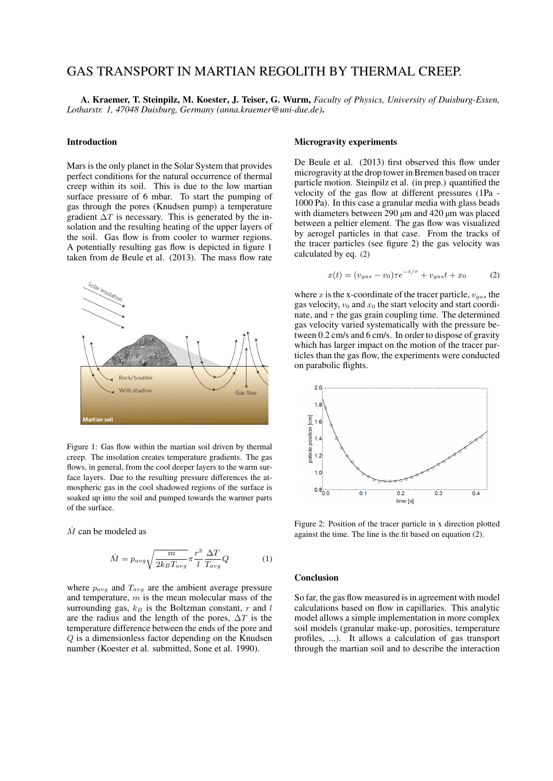# GAS TRANSPORT IN MARTIAN REGOLITH BY THERMAL CREEP.

A. Kraemer, T. Steinpilz, M. Koester, J. Teiser, G. Wurm, *Faculty of Physics, University of Duisburg-Essen, Lotharstr. 1, 47048 Duisburg, Germany (anna.kraemer@uni-due.de)*.

#### Introduction

Mars is the only planet in the Solar System that provides perfect conditions for the natural occurrence of thermal creep within its soil. This is due to the low martian surface pressure of 6 mbar. To start the pumping of gas through the pores (Knudsen pump) a temperature gradient  $\Delta T$  is necessary. This is generated by the insolation and the resulting heating of the upper layers of the soil. Gas flow is from cooler to warmer regions. A potentially resulting gas flow is depicted in figure 1 taken from de Beule et al. (2013). The mass flow rate



Figure 1: Gas flow within the martian soil driven by thermal creep. The insolation creates temperature gradients. The gas flows, in general, from the cool deeper layers to the warm surface layers. Due to the resulting pressure differences the atmospheric gas in the cool shadowed regions of the surface is soaked up into the soil and pumped towards the warmer parts of the surface.

 $\dot{M}$  can be modeled as

$$
\dot{M} = p_{avg} \sqrt{\frac{m}{2k_B T_{avg}}} \pi \frac{r^3}{l} \frac{\Delta T}{T_{avg}} Q \tag{1}
$$

where  $p_{avg}$  and  $T_{avg}$  are the ambient average pressure and temperature,  $m$  is the mean molecular mass of the surrounding gas,  $k_B$  is the Boltzman constant, r and l are the radius and the length of the pores,  $\Delta T$  is the temperature difference between the ends of the pore and Q is a dimensionless factor depending on the Knudsen number (Koester et al. submitted, Sone et al. 1990).

#### Microgravity experiments

De Beule et al. (2013) first observed this flow under microgravity at the drop tower in Bremen based on tracer particle motion. Steinpilz et al. (in prep.) quantified the velocity of the gas flow at different pressures (1Pa - 1000 Pa). In this case a granular media with glass beads with diameters between 290 µm and 420 µm was placed between a peltier element. The gas flow was visualized by aerogel particles in that case. From the tracks of the tracer particles (see figure 2) the gas velocity was calculated by eq. (2)

$$
x(t) = (v_{gas} - v_0)\tau e^{-t/\tau} + v_{gas}t + x_0
$$
 (2)

where x is the x-coordinate of the tracer particle,  $v_{gas}$  the gas velocity,  $v_0$  and  $x_0$  the start velocity and start coordinate, and  $\tau$  the gas grain coupling time. The determined gas velocity varied systematically with the pressure between 0.2 cm/s and 6 cm/s. In order to dispose of gravity which has larger impact on the motion of the tracer particles than the gas flow, the experiments were conducted on parabolic flights.



Figure 2: Position of the tracer particle in x direction plotted against the time. The line is the fit based on equation (2).

### Conclusion

So far, the gas flow measured is in agreement with model calculations based on flow in capillaries. This analytic model allows a simple implementation in more complex soil models (granular make-up, porosities, temperature profiles, ...). It allows a calculation of gas transport through the martian soil and to describe the interaction